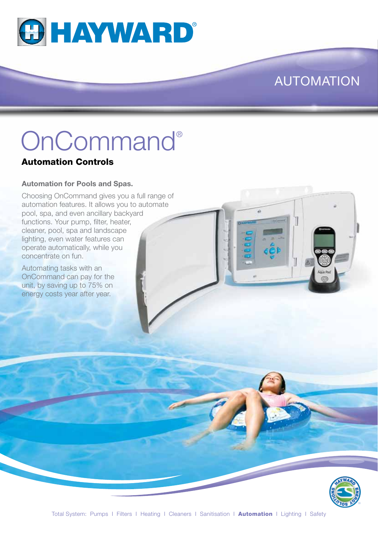

### AUTOMATION

# OnCommand®

#### Automation Controls

#### **Automation for Pools and Spas.**

Choosing OnCommand gives you a full range of automation features. It allows you to automate pool, spa, and even ancillary backyard functions. Your pump, filter, heater, cleaner, pool, spa and landscape lighting, even water features can operate automatically, while you concentrate on fun.

Automating tasks with an OnCommand can pay for the unit, by saving up to 75% on energy costs year after year.